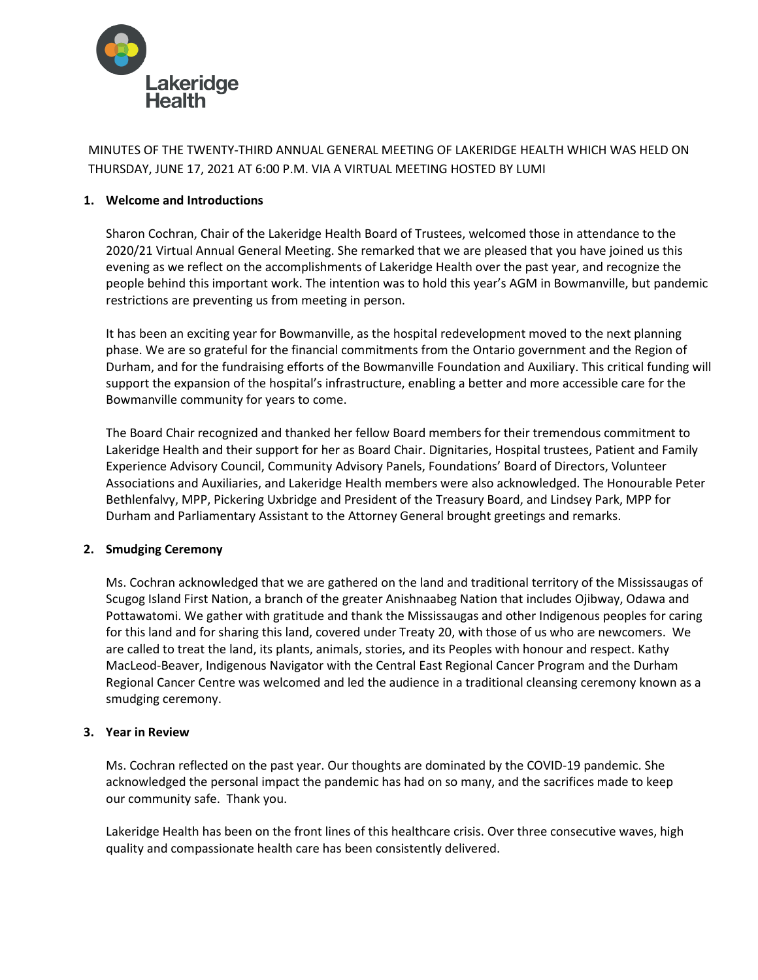

MINUTES OF THE TWENTY-THIRD ANNUAL GENERAL MEETING OF LAKERIDGE HEALTH WHICH WAS HELD ON THURSDAY, JUNE 17, 2021 AT 6:00 P.M. VIA A VIRTUAL MEETING HOSTED BY LUMI

## **1. Welcome and Introductions**

Sharon Cochran, Chair of the Lakeridge Health Board of Trustees, welcomed those in attendance to the 2020/21 Virtual Annual General Meeting. She remarked that we are pleased that you have joined us this evening as we reflect on the accomplishments of Lakeridge Health over the past year, and recognize the people behind this important work. The intention was to hold this year's AGM in Bowmanville, but pandemic restrictions are preventing us from meeting in person.

It has been an exciting year for Bowmanville, as the hospital redevelopment moved to the next planning phase. We are so grateful for the financial commitments from the Ontario government and the Region of Durham, and for the fundraising efforts of the Bowmanville Foundation and Auxiliary. This critical funding will support the expansion of the hospital's infrastructure, enabling a better and more accessible care for the Bowmanville community for years to come.

The Board Chair recognized and thanked her fellow Board members for their tremendous commitment to Lakeridge Health and their support for her as Board Chair. Dignitaries, Hospital trustees, Patient and Family Experience Advisory Council, Community Advisory Panels, Foundations' Board of Directors, Volunteer Associations and Auxiliaries, and Lakeridge Health members were also acknowledged. The Honourable Peter Bethlenfalvy, MPP, Pickering Uxbridge and President of the Treasury Board, and Lindsey Park, MPP for Durham and Parliamentary Assistant to the Attorney General brought greetings and remarks.

## **2. Smudging Ceremony**

Ms. Cochran acknowledged that we are gathered on the land and traditional territory of the Mississaugas of Scugog Island First Nation, a branch of the greater Anishnaabeg Nation that includes Ojibway, Odawa and Pottawatomi. We gather with gratitude and thank the Mississaugas and other Indigenous peoples for caring for this land and for sharing this land, covered under Treaty 20, with those of us who are newcomers. We are called to treat the land, its plants, animals, stories, and its Peoples with honour and respect. Kathy MacLeod-Beaver, Indigenous Navigator with the Central East Regional Cancer Program and the Durham Regional Cancer Centre was welcomed and led the audience in a traditional cleansing ceremony known as a smudging ceremony.

## **3. Year in Review**

Ms. Cochran reflected on the past year. Our thoughts are dominated by the COVID-19 pandemic. She acknowledged the personal impact the pandemic has had on so many, and the sacrifices made to keep our community safe. Thank you.

Lakeridge Health has been on the front lines of this healthcare crisis. Over three consecutive waves, high quality and compassionate health care has been consistently delivered.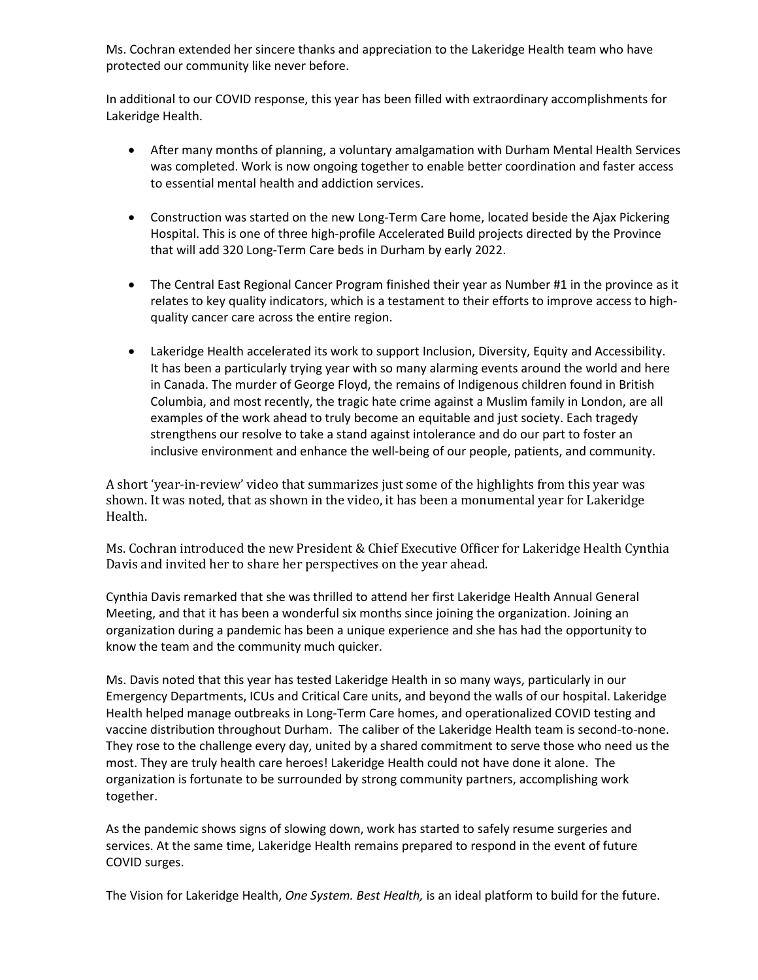Ms. Cochran extended her sincere thanks and appreciation to the Lakeridge Health team who have protected our community like never before.

In additional to our COVID response, this year has been filled with extraordinary accomplishments for Lakeridge Health.

- After many months of planning, a voluntary amalgamation with Durham Mental Health Services was completed. Work is now ongoing together to enable better coordination and faster access to essential mental health and addiction services.
- Construction was started on the new Long-Term Care home, located beside the Ajax Pickering Hospital. This is one of three high-profile Accelerated Build projects directed by the Province that will add 320 Long-Term Care beds in Durham by early 2022.
- The Central East Regional Cancer Program finished their year as Number #1 in the province as it relates to key quality indicators, which is a testament to their efforts to improve access to highquality cancer care across the entire region.
- Lakeridge Health accelerated its work to support Inclusion, Diversity, Equity and Accessibility. It has been a particularly trying year with so many alarming events around the world and here in Canada. The murder of George Floyd, the remains of Indigenous children found in British Columbia, and most recently, the tragic hate crime against a Muslim family in London, are all examples of the work ahead to truly become an equitable and just society. Each tragedy strengthens our resolve to take a stand against intolerance and do our part to foster an inclusive environment and enhance the well-being of our people, patients, and community.

A short 'year-in-review' video that summarizes just some of the highlights from this year was shown. It was noted, that as shown in the video, it has been a monumental year for Lakeridge Health.

Ms. Cochran introduced the new President & Chief Executive Officer for Lakeridge Health Cynthia Davis and invited her to share her perspectives on the year ahead.

Cynthia Davis remarked that she was thrilled to attend her first Lakeridge Health Annual General Meeting, and that it has been a wonderful six months since joining the organization. Joining an organization during a pandemic has been a unique experience and she has had the opportunity to know the team and the community much quicker.

Ms. Davis noted that this year has tested Lakeridge Health in so many ways, particularly in our Emergency Departments, ICUs and Critical Care units, and beyond the walls of our hospital. Lakeridge Health helped manage outbreaks in Long-Term Care homes, and operationalized COVID testing and vaccine distribution throughout Durham. The caliber of the Lakeridge Health team is second-to-none. They rose to the challenge every day, united by a shared commitment to serve those who need us the most. They are truly health care heroes! Lakeridge Health could not have done it alone. The organization is fortunate to be surrounded by strong community partners, accomplishing work together.

As the pandemic shows signs of slowing down, work has started to safely resume surgeries and services. At the same time, Lakeridge Health remains prepared to respond in the event of future COVID surges.

The Vision for Lakeridge Health, *One System. Best Health,* is an ideal platform to build for the future.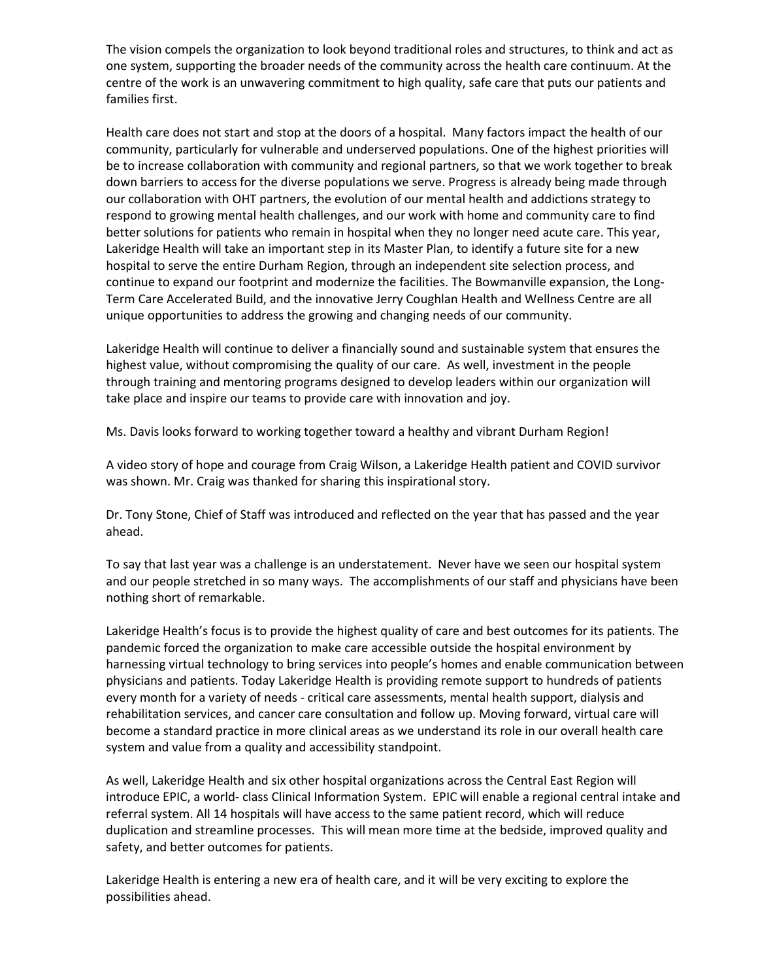The vision compels the organization to look beyond traditional roles and structures, to think and act as one system, supporting the broader needs of the community across the health care continuum. At the centre of the work is an unwavering commitment to high quality, safe care that puts our patients and families first.

Health care does not start and stop at the doors of a hospital. Many factors impact the health of our community, particularly for vulnerable and underserved populations. One of the highest priorities will be to increase collaboration with community and regional partners, so that we work together to break down barriers to access for the diverse populations we serve. Progress is already being made through our collaboration with OHT partners, the evolution of our mental health and addictions strategy to respond to growing mental health challenges, and our work with home and community care to find better solutions for patients who remain in hospital when they no longer need acute care. This year, Lakeridge Health will take an important step in its Master Plan, to identify a future site for a new hospital to serve the entire Durham Region, through an independent site selection process, and continue to expand our footprint and modernize the facilities. The Bowmanville expansion, the Long-Term Care Accelerated Build, and the innovative Jerry Coughlan Health and Wellness Centre are all unique opportunities to address the growing and changing needs of our community.

Lakeridge Health will continue to deliver a financially sound and sustainable system that ensures the highest value, without compromising the quality of our care. As well, investment in the people through training and mentoring programs designed to develop leaders within our organization will take place and inspire our teams to provide care with innovation and joy.

Ms. Davis looks forward to working together toward a healthy and vibrant Durham Region!

A video story of hope and courage from Craig Wilson, a Lakeridge Health patient and COVID survivor was shown. Mr. Craig was thanked for sharing this inspirational story.

Dr. Tony Stone, Chief of Staff was introduced and reflected on the year that has passed and the year ahead.

To say that last year was a challenge is an understatement. Never have we seen our hospital system and our people stretched in so many ways. The accomplishments of our staff and physicians have been nothing short of remarkable.

Lakeridge Health's focus is to provide the highest quality of care and best outcomes for its patients. The pandemic forced the organization to make care accessible outside the hospital environment by harnessing virtual technology to bring services into people's homes and enable communication between physicians and patients. Today Lakeridge Health is providing remote support to hundreds of patients every month for a variety of needs - critical care assessments, mental health support, dialysis and rehabilitation services, and cancer care consultation and follow up. Moving forward, virtual care will become a standard practice in more clinical areas as we understand its role in our overall health care system and value from a quality and accessibility standpoint.

As well, Lakeridge Health and six other hospital organizations across the Central East Region will introduce EPIC, a world- class Clinical Information System. EPIC will enable a regional central intake and referral system. All 14 hospitals will have access to the same patient record, which will reduce duplication and streamline processes. This will mean more time at the bedside, improved quality and safety, and better outcomes for patients.

Lakeridge Health is entering a new era of health care, and it will be very exciting to explore the possibilities ahead.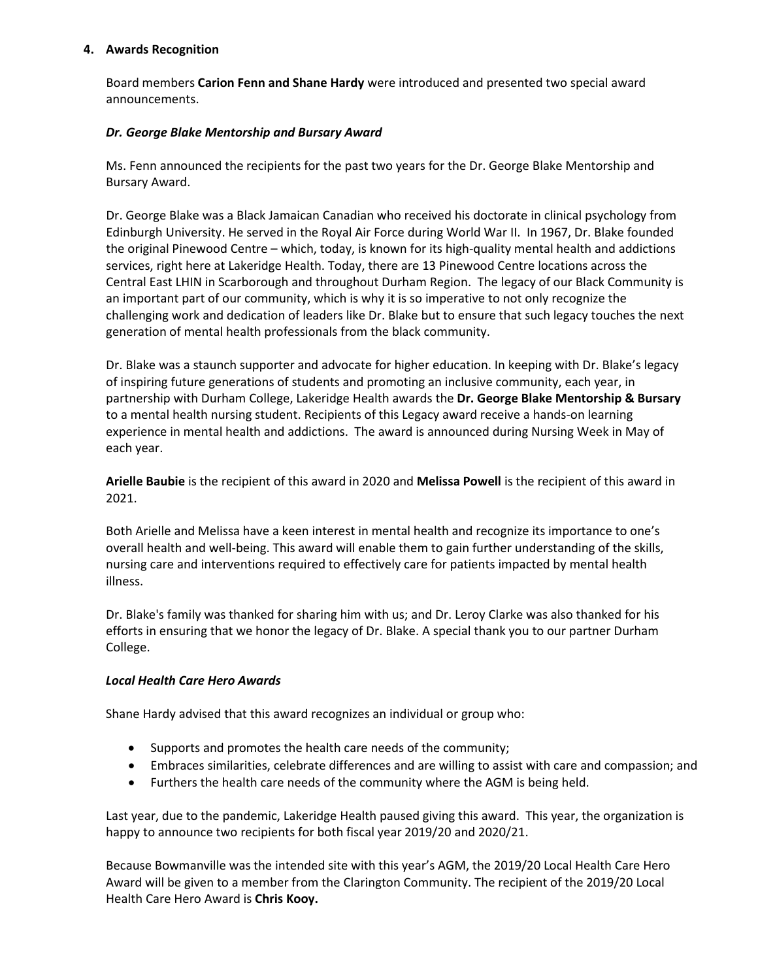## **4. Awards Recognition**

Board members **Carion Fenn and Shane Hardy** were introduced and presented two special award announcements.

# *Dr. George Blake Mentorship and Bursary Award*

Ms. Fenn announced the recipients for the past two years for the Dr. George Blake Mentorship and Bursary Award.

Dr. George Blake was a Black Jamaican Canadian who received his doctorate in clinical psychology from Edinburgh University. He served in the Royal Air Force during World War II. In 1967, Dr. Blake founded the original Pinewood Centre – which, today, is known for its high-quality mental health and addictions services, right here at Lakeridge Health. Today, there are 13 Pinewood Centre locations across the Central East LHIN in Scarborough and throughout Durham Region. The legacy of our Black Community is an important part of our community, which is why it is so imperative to not only recognize the challenging work and dedication of leaders like Dr. Blake but to ensure that such legacy touches the next generation of mental health professionals from the black community.

Dr. Blake was a staunch supporter and advocate for higher education. In keeping with Dr. Blake's legacy of inspiring future generations of students and promoting an inclusive community, each year, in partnership with Durham College, Lakeridge Health awards the **Dr. George Blake Mentorship & Bursary** to a mental health nursing student. Recipients of this Legacy award receive a hands-on learning experience in mental health and addictions. The award is announced during Nursing Week in May of each year.

**Arielle Baubie** is the recipient of this award in 2020 and **Melissa Powell** is the recipient of this award in 2021.

Both Arielle and Melissa have a keen interest in mental health and recognize its importance to one's overall health and well-being. This award will enable them to gain further understanding of the skills, nursing care and interventions required to effectively care for patients impacted by mental health illness.

Dr. Blake's family was thanked for sharing him with us; and Dr. Leroy Clarke was also thanked for his efforts in ensuring that we honor the legacy of Dr. Blake. A special thank you to our partner Durham College.

## *Local Health Care Hero Awards*

Shane Hardy advised that this award recognizes an individual or group who:

- Supports and promotes the health care needs of the community;
- Embraces similarities, celebrate differences and are willing to assist with care and compassion; and
- Furthers the health care needs of the community where the AGM is being held.

Last year, due to the pandemic, Lakeridge Health paused giving this award. This year, the organization is happy to announce two recipients for both fiscal year 2019/20 and 2020/21.

Because Bowmanville was the intended site with this year's AGM, the 2019/20 Local Health Care Hero Award will be given to a member from the Clarington Community. The recipient of the 2019/20 Local Health Care Hero Award is **Chris Kooy.**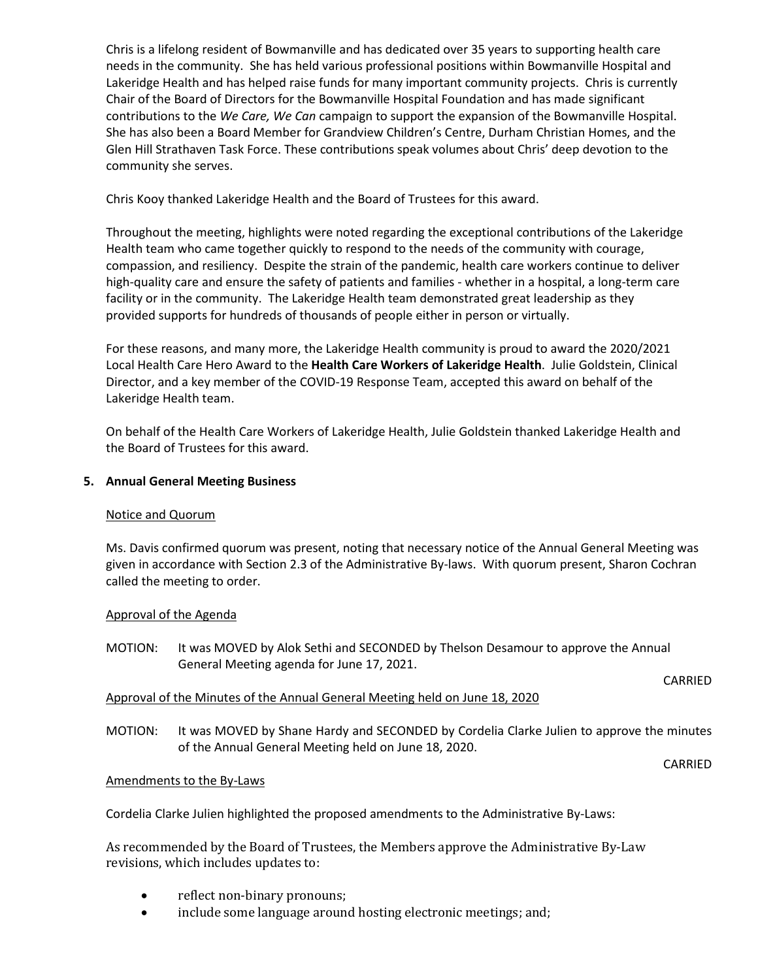Chris is a lifelong resident of Bowmanville and has dedicated over 35 years to supporting health care needs in the community. She has held various professional positions within Bowmanville Hospital and Lakeridge Health and has helped raise funds for many important community projects. Chris is currently Chair of the Board of Directors for the Bowmanville Hospital Foundation and has made significant contributions to the *We Care, We Can* campaign to support the expansion of the Bowmanville Hospital. She has also been a Board Member for Grandview Children's Centre, Durham Christian Homes, and the Glen Hill Strathaven Task Force. These contributions speak volumes about Chris' deep devotion to the community she serves.

Chris Kooy thanked Lakeridge Health and the Board of Trustees for this award.

Throughout the meeting, highlights were noted regarding the exceptional contributions of the Lakeridge Health team who came together quickly to respond to the needs of the community with courage, compassion, and resiliency. Despite the strain of the pandemic, health care workers continue to deliver high-quality care and ensure the safety of patients and families - whether in a hospital, a long-term care facility or in the community. The Lakeridge Health team demonstrated great leadership as they provided supports for hundreds of thousands of people either in person or virtually.

For these reasons, and many more, the Lakeridge Health community is proud to award the 2020/2021 Local Health Care Hero Award to the **Health Care Workers of Lakeridge Health**. Julie Goldstein, Clinical Director, and a key member of the COVID-19 Response Team, accepted this award on behalf of the Lakeridge Health team.

On behalf of the Health Care Workers of Lakeridge Health, Julie Goldstein thanked Lakeridge Health and the Board of Trustees for this award.

# **5. Annual General Meeting Business**

## Notice and Quorum

Ms. Davis confirmed quorum was present, noting that necessary notice of the Annual General Meeting was given in accordance with Section 2.3 of the Administrative By-laws. With quorum present, Sharon Cochran called the meeting to order.

## Approval of the Agenda

MOTION: It was MOVED by Alok Sethi and SECONDED by Thelson Desamour to approve the Annual General Meeting agenda for June 17, 2021.

#### CARRIED

# Approval of the Minutes of the Annual General Meeting held on June 18, 2020

MOTION: It was MOVED by Shane Hardy and SECONDED by Cordelia Clarke Julien to approve the minutes of the Annual General Meeting held on June 18, 2020.

CARRIED

## Amendments to the By-Laws

Cordelia Clarke Julien highlighted the proposed amendments to the Administrative By-Laws:

As recommended by the Board of Trustees, the Members approve the Administrative By-Law revisions, which includes updates to:

- reflect non-binary pronouns;
- include some language around hosting electronic meetings; and;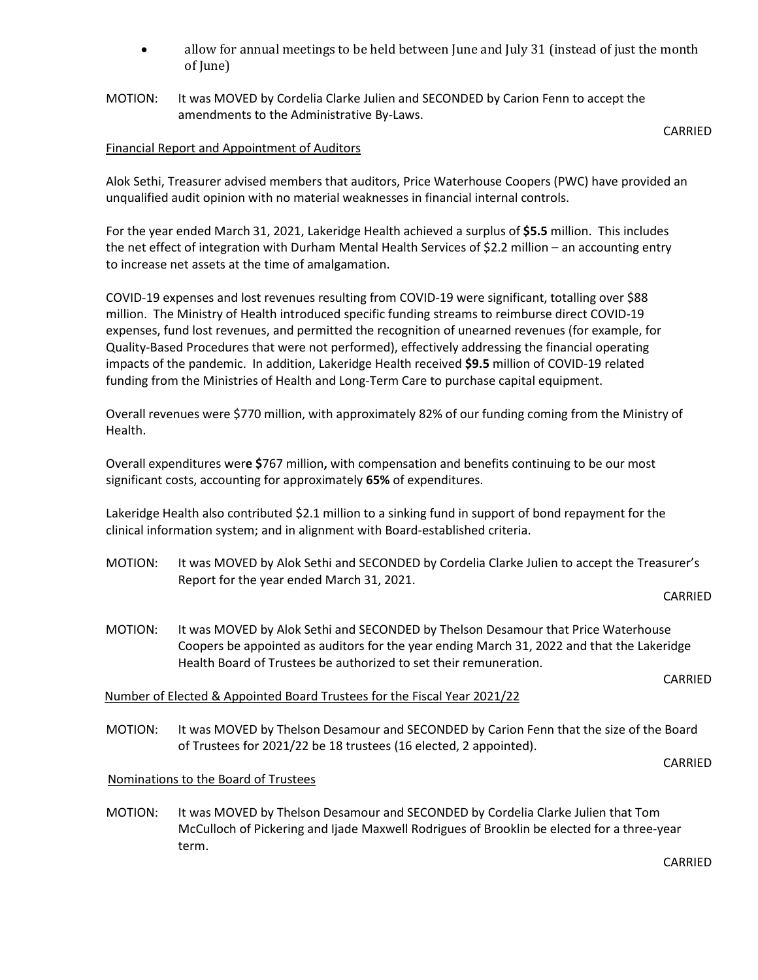- allow for annual meetings to be held between June and July 31 (instead of just the month of June)
- MOTION: It was MOVED by Cordelia Clarke Julien and SECONDED by Carion Fenn to accept the amendments to the Administrative By-Laws.

# Financial Report and Appointment of Auditors

Alok Sethi, Treasurer advised members that auditors, Price Waterhouse Coopers (PWC) have provided an unqualified audit opinion with no material weaknesses in financial internal controls.

For the year ended March 31, 2021, Lakeridge Health achieved a surplus of **\$5.5** million. This includes the net effect of integration with Durham Mental Health Services of \$2.2 million – an accounting entry to increase net assets at the time of amalgamation.

COVID-19 expenses and lost revenues resulting from COVID-19 were significant, totalling over \$88 million. The Ministry of Health introduced specific funding streams to reimburse direct COVID-19 expenses, fund lost revenues, and permitted the recognition of unearned revenues (for example, for Quality-Based Procedures that were not performed), effectively addressing the financial operating impacts of the pandemic. In addition, Lakeridge Health received **\$9.5** million of COVID-19 related funding from the Ministries of Health and Long-Term Care to purchase capital equipment.

Overall revenues were \$770 million, with approximately 82% of our funding coming from the Ministry of Health.

Overall expenditures wer**e \$**767 million**,** with compensation and benefits continuing to be our most significant costs, accounting for approximately **65%** of expenditures.

Lakeridge Health also contributed \$2.1 million to a sinking fund in support of bond repayment for the clinical information system; and in alignment with Board-established criteria.

MOTION: It was MOVED by Alok Sethi and SECONDED by Cordelia Clarke Julien to accept the Treasurer's Report for the year ended March 31, 2021.

#### CARRIED

CARRIED

MOTION: It was MOVED by Alok Sethi and SECONDED by Thelson Desamour that Price Waterhouse Coopers be appointed as auditors for the year ending March 31, 2022 and that the Lakeridge Health Board of Trustees be authorized to set their remuneration.

CARRIED

## Number of Elected & Appointed Board Trustees for the Fiscal Year 2021/22

MOTION: It was MOVED by Thelson Desamour and SECONDED by Carion Fenn that the size of the Board of Trustees for 2021/22 be 18 trustees (16 elected, 2 appointed).

CARRIED

## Nominations to the Board of Trustees

MOTION: It was MOVED by Thelson Desamour and SECONDED by Cordelia Clarke Julien that Tom McCulloch of Pickering and Ijade Maxwell Rodrigues of Brooklin be elected for a three-year term.

CARRIED